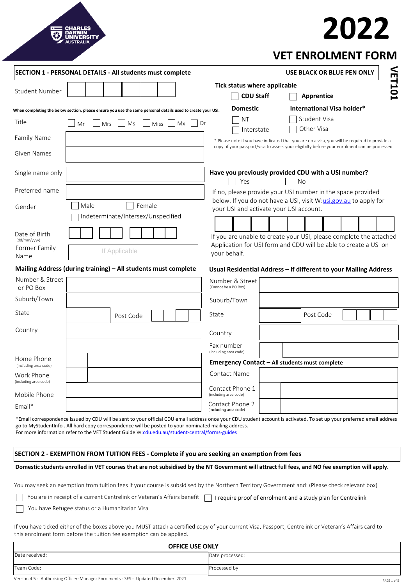# **2022**

|                                     | SECTION 1 - PERSONAL DETAILS - All students must complete                                                   |                                          | USE BLACK OR BLUE PEN ONLY                                                                                                             |
|-------------------------------------|-------------------------------------------------------------------------------------------------------------|------------------------------------------|----------------------------------------------------------------------------------------------------------------------------------------|
| <b>Student Number</b>               |                                                                                                             | Tick status where applicable             | VET101                                                                                                                                 |
|                                     |                                                                                                             | <b>CDU Staff</b>                         | <b>Apprentice</b>                                                                                                                      |
|                                     | When completing the below section, please ensure you use the same personal details used to create your USI. | <b>Domestic</b>                          | International Visa holder*                                                                                                             |
| Title                               | <b>Miss</b><br><b>Mx</b><br>Dr<br>Mrs<br>Ms<br>Mr                                                           | ΝT<br>Interstate                         | <b>Student Visa</b><br>Other Visa                                                                                                      |
| <b>Family Name</b>                  |                                                                                                             |                                          | * Please note if you have indicated that you are on a visa, you will be required to provide a                                          |
| <b>Given Names</b>                  |                                                                                                             |                                          | copy of your passport/visa to assess your eligibilty before your enrolment can be processed.                                           |
| Single name only                    |                                                                                                             | Yes                                      | Have you previously provided CDU with a USI number?<br>No                                                                              |
| Preferred name                      |                                                                                                             |                                          | If no, please provide your USI number in the space provided                                                                            |
| Gender                              | Female<br>Male                                                                                              | your USI and activate your USI account.  | below. If you do not have a USI, visit W:usi.gov.au to apply for                                                                       |
|                                     | Indeterminate/Intersex/Unspecified                                                                          |                                          |                                                                                                                                        |
| Date of Birth<br>(dd/mm/yyyy)       |                                                                                                             |                                          | If you are unable to create your USI, please complete the attached<br>Application for USI form and CDU will be able to create a USI on |
| Former Family<br>Name               | If Applicable                                                                                               | your behalf.                             |                                                                                                                                        |
|                                     | Mailing Address (during training) - All students must complete                                              |                                          | Usual Residential Address - If different to your Mailing Address                                                                       |
| Number & Street<br>or PO Box        |                                                                                                             | Number & Street<br>(Cannot be a PO Box)  |                                                                                                                                        |
| Suburb/Town                         |                                                                                                             | Suburb/Town                              |                                                                                                                                        |
| State                               | Post Code                                                                                                   | State                                    | Post Code                                                                                                                              |
| Country                             |                                                                                                             | Country                                  |                                                                                                                                        |
|                                     |                                                                                                             | Fax number<br>(including area code)      |                                                                                                                                        |
| Home Phone<br>(including area code) |                                                                                                             |                                          | Emergency Contact - All students must complete                                                                                         |
| Work Phone<br>(including area code) |                                                                                                             | <b>Contact Name</b>                      |                                                                                                                                        |
| Mobile Phone                        |                                                                                                             | Contact Phone 1<br>(including area code) |                                                                                                                                        |
| $Email*$                            |                                                                                                             | Contact Phone 2<br>(including area code) |                                                                                                                                        |

\*Email correspondence issued by CDU will be sent to your official CDU email address once your CDU student account is activated. To set up your preferred email address go to MyStudentInfo . All hard copy correspondence will be posted to your nominated mailing address. For more information refer to the VET Student Guide W:[cdu.edu.au/student-central/forms-guides](https://www.cdu.edu.au/student-central/forms-guides)

# **SECTION 2 - EXEMPTION FROM TUITION FEES - Complete if you are seeking an exemption from fees**

#### **Domestic students enrolled in VET courses that are not subsidised by the NT Government will attract full fees, and NO fee exemption will apply.**

You may seek an exemption from tuition fees if your course is subsidised by the Northern Territory Government and: (Please check relevant box)

|--|--|--|--|--|--|--|--|

You have Refugee status or a Humanitarian Visa

 $\Box$ 

If you have ticked either of the boxes above you MUST attach a certified copy of your current Visa, Passport, Centrelink or Veteran's Affairs card to this enrolment form before the tuition fee exemption can be applied.

| <b>OFFICE USE ONLY</b>                                                              |                 |  |  |  |
|-------------------------------------------------------------------------------------|-----------------|--|--|--|
| Date received:                                                                      | Date processed: |  |  |  |
| Team Code:                                                                          | Processed by:   |  |  |  |
| Version 4.5 - Authorising Officer: Manager Enrolments - SES - Updated December 2021 | PAGE 1 of 5     |  |  |  |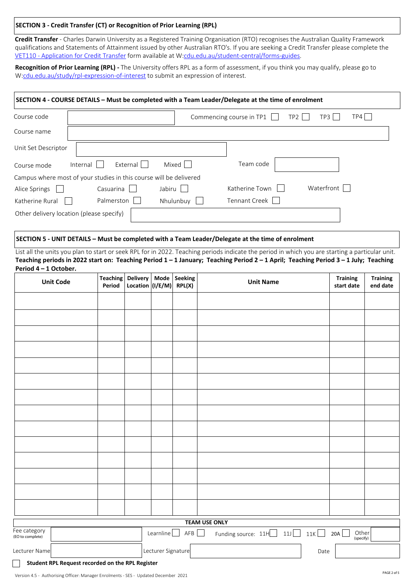# **SECTION 3 - Credit Transfer (CT) or Recognition of Prior Learning (RPL)**

**Credit Transfer** - Charles Darwin University as a Registered Training Organisation (RTO) recognises the Australian Quality Framework qualifications and Statements of Attainment issued by other Australian RTO's. If you are seeking a Credit Transfer please complete the [VET110 - Application for Credit Transfer](https://www.cdu.edu.au/current-students/student-admin/forms-guides) form available at W:[cdu.edu.au/student-central/forms-guides](https://www.cdu.edu.au/student-central/forms-guides).

**Recognition of Prior Learning (RPL) -** The University offers RPL as a form of assessment, if you think you may qualify, please go to W[:cdu.edu.au/study/rpl-expression-of-interest](https://www.cdu.edu.au/study/rpl- expression-of-interest) to submit an expression of interest.

# **SECTION 4 - COURSE DETAILS – Must be completed with a Team Leader/Delegate at the time of enrolment**  Course code  $\begin{array}{|c|c|c|c|c|}\n\hline\n\end{array}$  Commencing course in TP1  $\begin{array}{|c|c|c|c|}\n\hline\n\end{array}$  TP3  $\begin{array}{|c|c|c|c|}\n\hline\n\end{array}$  TP4

| Course name                              |                                                                    |           |                |            |
|------------------------------------------|--------------------------------------------------------------------|-----------|----------------|------------|
| Unit Set Descriptor                      |                                                                    |           |                |            |
| Course mode                              | External<br>Internal                                               | Mixed     | Team code      |            |
|                                          | Campus where most of your studies in this course will be delivered |           |                |            |
| Alice Springs                            | Casuarina                                                          | Jabiru    | Katherine Town | Waterfront |
| Katherine Rural                          | Palmerston                                                         | Nhulunbuy | Tennant Creek  |            |
| Other delivery location (please specify) |                                                                    |           |                |            |

#### **SECTION 5 - UNIT DETAILS – Must be completed with a Team Leader/Delegate at the time of enrolment**

List all the units you plan to start or seek RPL for in 2022. Teaching periods indicate the period in which you are starting a particular unit. **Teaching periods in 2022 start on: Teaching Period 1 – 1 January; Teaching Period 2 – 1 April; Teaching Period 3 – 1 July; Teaching Period 4 – 1 October.** 

| <b>Unit Code</b>                                 | Teaching<br>Period | Delivery<br>Location $\vert (I/E/M) \vert$ |                    | Mode   Seeking<br>RPL(X) | <b>Unit Name</b>                |      | <b>Training</b><br>start date | <b>Training</b><br>end date |
|--------------------------------------------------|--------------------|--------------------------------------------|--------------------|--------------------------|---------------------------------|------|-------------------------------|-----------------------------|
|                                                  |                    |                                            |                    |                          |                                 |      |                               |                             |
|                                                  |                    |                                            |                    |                          |                                 |      |                               |                             |
|                                                  |                    |                                            |                    |                          |                                 |      |                               |                             |
|                                                  |                    |                                            |                    |                          |                                 |      |                               |                             |
|                                                  |                    |                                            |                    |                          |                                 |      |                               |                             |
|                                                  |                    |                                            |                    |                          |                                 |      |                               |                             |
|                                                  |                    |                                            |                    |                          |                                 |      |                               |                             |
|                                                  |                    |                                            |                    |                          |                                 |      |                               |                             |
|                                                  |                    |                                            |                    |                          |                                 |      |                               |                             |
|                                                  |                    |                                            |                    |                          |                                 |      |                               |                             |
|                                                  |                    |                                            |                    |                          |                                 |      |                               |                             |
|                                                  |                    |                                            |                    |                          |                                 |      |                               |                             |
|                                                  |                    |                                            |                    |                          |                                 |      |                               |                             |
|                                                  |                    |                                            |                    |                          |                                 |      |                               |                             |
| <b>TEAM USE ONLY</b>                             |                    |                                            |                    |                          |                                 |      |                               |                             |
| Fee category<br>(EO to complete)                 |                    |                                            | Learnline          | AFB                      | Funding source: $11H$ $11$ $11$ |      | Other<br>(specify)<br>20A     |                             |
| Lecturer Name                                    |                    |                                            | Lecturer Signature |                          |                                 | Date |                               |                             |
| Student RPL Request recorded on the RPL Register |                    |                                            |                    |                          |                                 |      |                               |                             |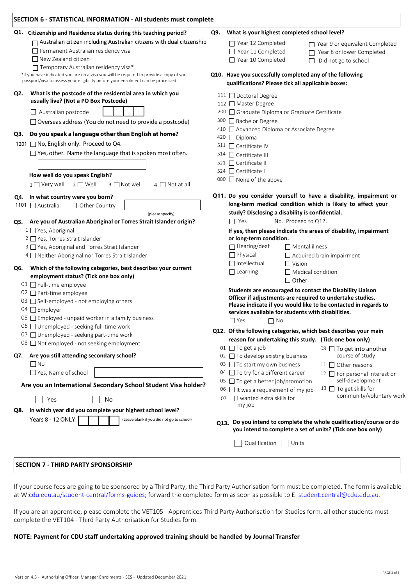| <b>SECTION 6 - STATISTICAL INFORMATION - All students must complete</b>                                                           |                                                                                                                                   |  |  |  |
|-----------------------------------------------------------------------------------------------------------------------------------|-----------------------------------------------------------------------------------------------------------------------------------|--|--|--|
| Q1. Citizenship and Residence status during this teaching period?                                                                 | What is your highest completed school level?<br>Q9.                                                                               |  |  |  |
| $\Box$ Australian citizen including Australian citizens with dual citizenship                                                     | $\Box$ Year 12 Completed<br>$\Box$ Year 9 or equivalent Completed                                                                 |  |  |  |
| Permanent Australian residency visa                                                                                               | $\Box$ Year 11 Completed<br>Year 8 or lower Completed<br>П                                                                        |  |  |  |
| $\Box$ New Zealand citizen                                                                                                        | □ Year 10 Completed<br>Did not go to school<br>$\Box$                                                                             |  |  |  |
| □ Temporary Australian residency visa*<br>*If you have indicated you are on a visa you will be required to provide a copy of your | Q10. Have you sucessfully completed any of the following                                                                          |  |  |  |
| passport/visa to assess your eligibility before your enrolment can be processed.                                                  | qualifications? Please tick all applicable boxes:                                                                                 |  |  |  |
| What is the postcode of the residential area in which you                                                                         |                                                                                                                                   |  |  |  |
| Q2.<br>usually live? (Not a PO Box Postcode)                                                                                      | 111 □ Doctoral Degree                                                                                                             |  |  |  |
|                                                                                                                                   | 112 Master Degree                                                                                                                 |  |  |  |
| $\Box$ Australian postcode                                                                                                        | 200 □ Graduate Diploma or Graduate Certificate<br>300 Bachelor Degree                                                             |  |  |  |
| $\Box$ Overseas address (You do not need to provide a postcode)                                                                   | 410 Advanced Diploma or Associate Degree                                                                                          |  |  |  |
| Q3. Do you speak a language other than English at home?                                                                           | 420 □ Diploma                                                                                                                     |  |  |  |
| 1201 □ No, English only. Proceed to Q4.                                                                                           | 511 □ Certificate IV                                                                                                              |  |  |  |
| $\Box$ Yes, other. Name the language that is spoken most often.                                                                   | $514$ $\Box$ Certificate III                                                                                                      |  |  |  |
|                                                                                                                                   | 521 □ Certificate II                                                                                                              |  |  |  |
|                                                                                                                                   | 524 Certificate I                                                                                                                 |  |  |  |
| How well do you speak English?<br>3 □ Not well                                                                                    | 000 □ None of the above                                                                                                           |  |  |  |
| $1$ $\Box$ Very well<br>$2 \square$ Well<br>$4 \Box$ Not at all                                                                   |                                                                                                                                   |  |  |  |
| Q4. In what country were you born?                                                                                                | Q11. Do you consider yourself to have a disability, impairment or                                                                 |  |  |  |
| 1101 □ Australia<br>$\Box$ Other Country                                                                                          | long-term medical condition which is likely to affect your                                                                        |  |  |  |
| (please specify)                                                                                                                  | study? Disclosing a disability is confidential.                                                                                   |  |  |  |
| Are you of Australian Aboriginal or Torres Strait Islander origin?<br>Q5.                                                         | □ No. Proceed to Q12.<br>$\Box$ Yes                                                                                               |  |  |  |
| 1 □ Yes, Aboriginal                                                                                                               | If yes, then please indicate the areas of disability, impairment                                                                  |  |  |  |
| 2 □ Yes, Torres Strait Islander<br>3 Yes, Aboriginal and Torres Strait Islander                                                   | or long-term condition.<br>$\Box$ Hearing/deaf<br>$\Box$ Mental illness                                                           |  |  |  |
| 4 Neither Aboriginal nor Torres Strait Islander                                                                                   | $\Box$ Physical<br>$\Box$ Acquired brain impairment                                                                               |  |  |  |
|                                                                                                                                   | $\Box$ Intellectual<br>$\Box$ Vision                                                                                              |  |  |  |
| Which of the following categories, best describes your current<br>Q6.                                                             | $\Box$ Learning<br>$\Box$ Medical condition                                                                                       |  |  |  |
| employment status? (Tick one box only)                                                                                            | $\Box$ Other                                                                                                                      |  |  |  |
| 01 □ Full-time employee                                                                                                           | Students are encouraged to contact the Disability Liaison                                                                         |  |  |  |
| 02 $\Box$ Part-time employee<br>03 □ Self-employed - not employing others                                                         | Officer if adjustments are required to undertake studies.                                                                         |  |  |  |
| 04 □ Employer                                                                                                                     | Please indicate if you would like to be contacted in regards to                                                                   |  |  |  |
| 05 □ Employed - unpaid worker in a family business                                                                                | services available for students with disabilities.                                                                                |  |  |  |
| 06 $\Box$ Unemployed - seeking full-time work                                                                                     | $\Box$ Yes<br>$\Box$ No                                                                                                           |  |  |  |
| 07 Unemployed - seeking part-time work                                                                                            | Q12. Of the following categories, which best describes your main                                                                  |  |  |  |
| 08 $\Box$ Not employed - not seeking employment                                                                                   | reason for undertaking this study. (Tick one box only)                                                                            |  |  |  |
| Q7. Are you still attending secondary school?                                                                                     | 01 $\Box$ To get a job<br>08 □ To get into another<br>course of study<br>02 □ To develop existing business                        |  |  |  |
| $\Box$ No                                                                                                                         | 03 □ To start my own business<br>$11$ $\Box$ Other reasons                                                                        |  |  |  |
| $\Box$ Yes, Name of school                                                                                                        | 04 □ To try for a different career<br>12 G For personal interest or                                                               |  |  |  |
|                                                                                                                                   | self-development<br>05 □ To get a better job/promotion                                                                            |  |  |  |
| Are you an International Secondary School Student Visa holder?                                                                    | 13 □ To get skills for<br>06 $\Box$ It was a requirement of my job                                                                |  |  |  |
| Yes<br>No                                                                                                                         | community/voluntary work<br>07 □ I wanted extra skills for                                                                        |  |  |  |
| In which year did you complete your highest school level?<br>Q8.                                                                  | my job                                                                                                                            |  |  |  |
| Years 8 - 12 ONLY<br>(Leave blank if you did not go to school)                                                                    |                                                                                                                                   |  |  |  |
|                                                                                                                                   | Q13. Do you intend to complete the whole qualification/course or do<br>you intend to complete a set of units? (Tick one box only) |  |  |  |
|                                                                                                                                   | Qualification<br>Units                                                                                                            |  |  |  |
|                                                                                                                                   |                                                                                                                                   |  |  |  |
|                                                                                                                                   |                                                                                                                                   |  |  |  |

# **SECTION 7 - THIRD PARTY SPONSORSHIP**

If your course fees are going to be sponsored by a Third Party, the Third Party Authorisation form must be completed. The form is available at W:[cdu.edu.au/student-central/forms-guides](https://www.cdu.edu.au/student-central/forms-guides); forward the completed form as soon as possible to E: [student.central@cdu.edu.au](mailto:student.central@cdu.edu.au).

If you are an apprentice, please complete the VET105 - Apprentices Third Party Authorisation for Studies form, all other students must complete the VET104 - Third Party Authorisation for Studies form.

# **NOTE: Payment for CDU staff undertaking approved training should be handled by Journal Transfer**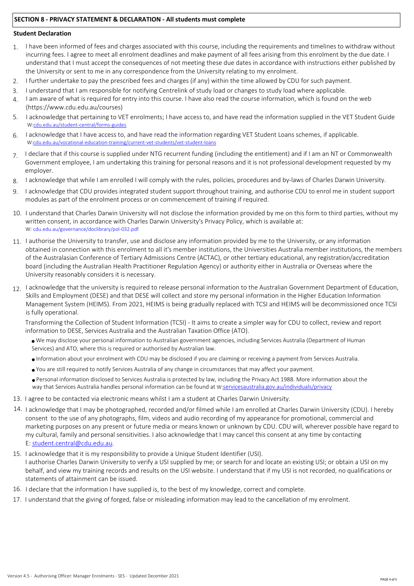# **SECTION 8 - PRIVACY STATEMENT & DECLARATION - All students must complete**

#### **Student Declaration**

- I have been informed of fees and charges associated with this course, including the requirements and timelines to withdraw without incurring fees. I agree to meet all enrolment deadlines and make payment of all fees arising from this enrolment by the due date. I understand that I must accept the consequences of not meeting these due dates in accordance with instructions either published by the University or sent to me in any correspondence from the University relating to my enrolment. 1.
- I further undertake to pay the prescribed fees and charges (if any) within the time allowed by CDU for such payment. 2.
- I understand that I am responsible for notifying Centrelink of study load or changes to study load where applicable. 3.
- I am aware of what is required for entry into this course. I have also read the course information, which is found on the web (https://www.cdu.edu.au/courses) 4.
- 5. I acknowledge that pertaining to VET enrolments; I have access to, and have read the information supplied in the VET Student Guide W[:cdu.edu.au/student-central/forms-guides](https://www.cdu.edu.au/student-central/forms-guides)
- I acknowledge that I have access to, and have read the information regarding VET Student Loans schemes, if applicable. W:[cdu.edu.au/vocational-education-training/current-vet-students/vet-student-loans](https://www.cdu.edu.au/vocational-education-training/current-vet-students/vet-student-loans) 6.
- I declare that if this course is supplied under NTG recurrent funding (including the entitlement) and if I am an NT or Commonwealth Government employee, I am undertaking this training for personal reasons and it is not professional development requested by my employer. 7.
- I acknowledge that while I am enrolled I will comply with the rules, policies, procedures and by-laws of Charles Darwin University. 8.
- 9. I acknowledge that CDU provides integrated student support throughout training, and authorise CDU to enrol me in student support modules as part of the enrolment process or on commencement of training if required.
- 10. I understand that Charles Darwin University will not disclose the information provided by me on this form to third parties, without my written consent, in accordance with Charles Darwin University's Privacy Policy, which is available at: W: [cdu.edu.au/governance/doclibrary/pol-032.pdf](http://www.cdu.edu.au/governance/doclibrary/pol-032.pdf)
- 11. I authorise the University to transfer, use and disclose any information provided by me to the University, or any information obtained in connection with this enrolment to all it's member institutions, the Universities Australia member institutions, the members of the Australasian Conference of Tertiary Admissions Centre (ACTAC), or other tertiary educational, any registration/accreditation board (including the Australian Health Practitioner Regulation Agency) or authority either in Australia or Overseas where the University reasonably considers it is necessary.
- 12. I acknowledge that the university is required to release personal information to the Australian Government Department of Education, Skills and Employment (DESE) and that DESE will collect and store my personal information in the Higher Education Information Management System (HEIMS). From 2021, HEIMS is being gradually replaced with TCSI and HEIMS will be decommissioned once TCSI is fully operational.

Transforming the Collection of Student Information (TCSI) - It aims to create a simpler way for CDU to collect, review and report information to DESE, Services Australia and the Australian Taxation Office (ATO).

- <sup>n</sup> We may disclose your personal information to Australian government agencies, including Services Australia (Department of Human Services) and ATO, where this is required or authorised by Australian law.
- <sup>n</sup>Information about your enrolment with CDU may be disclosed if you are claiming or receiving a payment from Services Australia.
- <sup>n</sup>You are still required to notify Services Australia of any change in circumstances that may affect your payment.

<sup>n</sup>Personal information disclosed to Services Australia is protected by law, including the Privacy Act 1988. More information about the way that Services Australia handles personal information can be found at W:[servicesaustralia.gov.au/individuals/privacy](https://www.servicesaustralia.gov.au/individuals/privacy)

- 13. I agree to be contacted via electronic means whilst I am a student at Charles Darwin University.
- 14. I acknowledge that I may be photographed, recorded and/or filmed while I am enrolled at Charles Darwin University (CDU). I hereby consent to the use of any photographs, film, videos and audio recording of my appearance for promotional, commercial and marketing purposes on any present or future media or means known or unknown by CDU. CDU will, wherever possible have regard to my cultural, family and personal sensitivities. I also acknowledge that I may cancel this consent at any time by contacting E: [student.central@cdu.edu.au.](mailto:student.central@cdu.edu.au)
- 15. I acknowledge that it is my responsibility to provide a Unique Student Identifier (USI). I authorise Charles Darwin University to verify a USI supplied by me; or search for and locate an existing USI; or obtain a USI on my behalf, and view my training records and results on the USI website. I understand that if my USI is not recorded, no qualifications or statements of attainment can be issued.
- 16. I declare that the information I have supplied is, to the best of my knowledge, correct and complete.
- 17. I understand that the giving of forged, false or misleading information may lead to the cancellation of my enrolment.